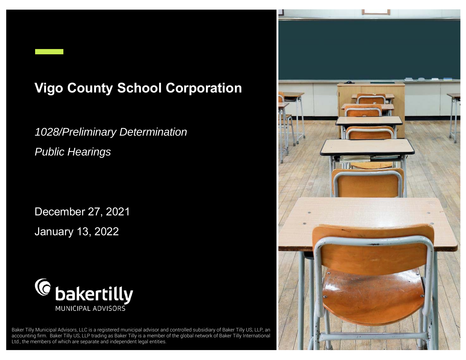# **Vigo County School Corporation**

*1028/Preliminary Determination Public Hearings*

December 27, 2021 January 13, 2022



aker Tilly Municipal Advisors, LLC is a registered municipal advisor and controlled subsidiary of Baker Tilly OS, LLF, an Baker Tilly Municipal Advisors, LLC is a registered municipal advisor and controlled subsidiary of Baker Tilly US, LLP, an and the substitutional and the substitution of the global network of Baker Tilly International and Ltd., the members of which are separate and independent legal entities.

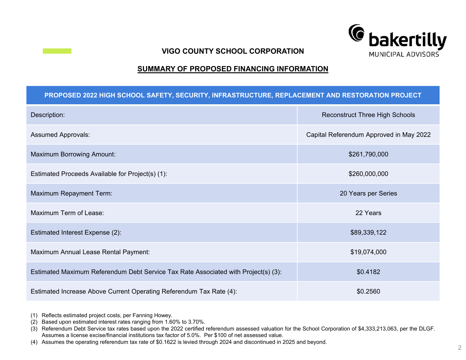

#### **VIGO COUNTY SCHOOL CORPORATION**

## **SUMMARY OF PROPOSED FINANCING INFORMATION**

#### **PROPOSED 2022 HIGH SCHOOL SAFETY, SECURITY, INFRASTRUCTURE, REPLACEMENT AND RESTORATION PROJECT**

| Description:                                                                       | <b>Reconstruct Three High Schools</b>   |  |
|------------------------------------------------------------------------------------|-----------------------------------------|--|
| <b>Assumed Approvals:</b>                                                          | Capital Referendum Approved in May 2022 |  |
| <b>Maximum Borrowing Amount:</b>                                                   | \$261,790,000                           |  |
| Estimated Proceeds Available for Project(s) (1):                                   | \$260,000,000                           |  |
| Maximum Repayment Term:                                                            | 20 Years per Series                     |  |
| Maximum Term of Lease:                                                             | 22 Years                                |  |
| Estimated Interest Expense (2):                                                    | \$89,339,122                            |  |
| Maximum Annual Lease Rental Payment:                                               | \$19,074,000                            |  |
| Estimated Maximum Referendum Debt Service Tax Rate Associated with Project(s) (3): | \$0.4182                                |  |
| Estimated Increase Above Current Operating Referendum Tax Rate (4):                | \$0.2560                                |  |

(1) Reflects estimated project costs, per Fanning Howey.

(2) Based upon estimated interest rates ranging from 1.60% to 3.70%.

<sup>(3)</sup> Referendum Debt Service tax rates based upon the 2022 certified referendum assessed valuation for the School Corporation of \$4,333,213,063, per the DLGF. Assumes <sup>a</sup> license excise/financial institutions tax factor of 5.0%. Per \$100 of net assessed value.

<sup>(4)</sup> Assumes the operating referendum tax rate of \$0.1622 is levied through 2024 and discontinued in 2025 and beyond.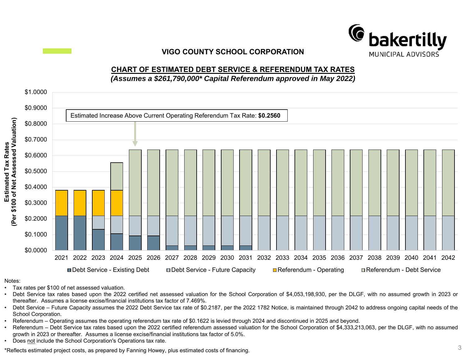

# **VIGO COUNTY SCHOOL CORPORATION**

# **CHART OF ESTIMATED DEBT SERVICE & REFERENDUM TAX RATES** *(Assumes a \$261,790,000\* Capital Referendum approved in May 2022)*



#### Notes:

- •Tax rates per \$100 of net assessed valuation.
- Debt Service tax rates based upon the 2022 certified net assessed valuation for the School Corporation of \$4,053,198,930, per the DLGF, with no assumed growth in 2023 or thereafter. Assumes <sup>a</sup> license excise/financial institutions tax factor of 7.469%.
- Debt Service Future Capacity assumes the 2022 Debt Service tax rate of \$0.2187, per the 2022 1782 Notice, is maintained through 2042 to address ongoing capital needs of the School Corporation.
- •Referendum – Operating assumes the operating referendum tax rate of \$0.1622 is levied through 2024 and discontinued in 2025 and beyond.
- • Referendum – Debt Service tax rates based upon the 2022 certified referendum assessed valuation for the School Corporation of \$4,333,213,063, per the DLGF, with no assumed growth in 2023 or thereafter. Assumes <sup>a</sup> license excise/financial institutions tax factor of 5.0%.
- •Does not include the School Corporation's Operations tax rate.

 $*$ Reflects estimated project costs, as prepared by Fanning Howey, plus estimated costs of financing.